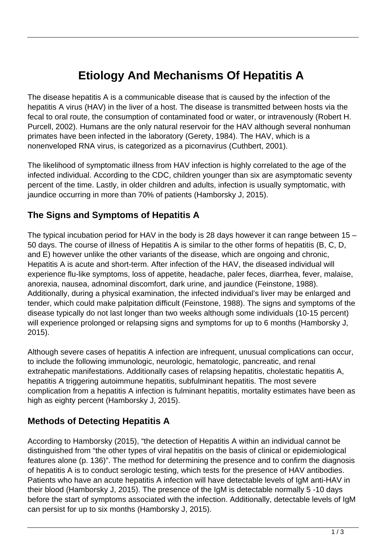# **Etiology And Mechanisms Of Hepatitis A**

The disease hepatitis A is a communicable disease that is caused by the infection of the hepatitis A virus (HAV) in the liver of a host. The disease is transmitted between hosts via the fecal to oral route, the consumption of contaminated food or water, or intravenously (Robert H. Purcell, 2002). Humans are the only natural reservoir for the HAV although several nonhuman primates have been infected in the laboratory (Gerety, 1984). The HAV, which is a nonenveloped RNA virus, is categorized as a picornavirus (Cuthbert, 2001).

The likelihood of symptomatic illness from HAV infection is highly correlated to the age of the infected individual. According to the CDC, children younger than six are asymptomatic seventy percent of the time. Lastly, in older children and adults, infection is usually symptomatic, with jaundice occurring in more than 70% of patients (Hamborsky J, 2015).

#### **The Signs and Symptoms of Hepatitis A**

The typical incubation period for HAV in the body is 28 days however it can range between 15 – 50 days. The course of illness of Hepatitis A is similar to the other forms of hepatitis (B, C, D, and E) however unlike the other variants of the disease, which are ongoing and chronic, Hepatitis A is acute and short-term. After infection of the HAV, the diseased individual will experience flu-like symptoms, loss of appetite, headache, paler feces, diarrhea, fever, malaise, anorexia, nausea, adnominal discomfort, dark urine, and jaundice (Feinstone, 1988). Additionally, during a physical examination, the infected individual's liver may be enlarged and tender, which could make palpitation difficult (Feinstone, 1988). The signs and symptoms of the disease typically do not last longer than two weeks although some individuals (10-15 percent) will experience prolonged or relapsing signs and symptoms for up to 6 months (Hamborsky J, 2015).

Although severe cases of hepatitis A infection are infrequent, unusual complications can occur, to include the following immunologic, neurologic, hematologic, pancreatic, and renal extrahepatic manifestations. Additionally cases of relapsing hepatitis, cholestatic hepatitis A, hepatitis A triggering autoimmune hepatitis, subfulminant hepatitis. The most severe complication from a hepatitis A infection is fulminant hepatitis, mortality estimates have been as high as eighty percent (Hamborsky J, 2015).

### **Methods of Detecting Hepatitis A**

According to Hamborsky (2015), "the detection of Hepatitis A within an individual cannot be distinguished from "the other types of viral hepatitis on the basis of clinical or epidemiological features alone (p. 136)". The method for determining the presence and to confirm the diagnosis of hepatitis A is to conduct serologic testing, which tests for the presence of HAV antibodies. Patients who have an acute hepatitis A infection will have detectable levels of IgM anti-HAV in their blood (Hamborsky J, 2015). The presence of the IgM is detectable normally 5 -10 days before the start of symptoms associated with the infection. Additionally, detectable levels of IgM can persist for up to six months (Hamborsky J, 2015).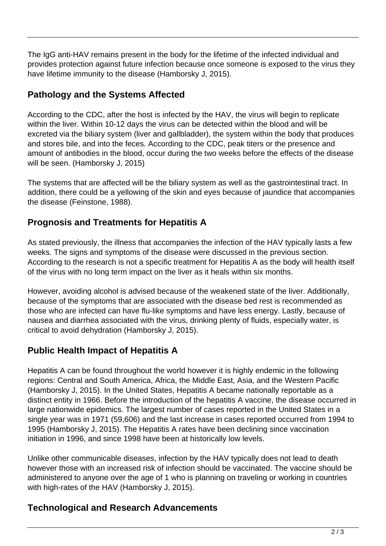The IgG anti-HAV remains present in the body for the lifetime of the infected individual and provides protection against future infection because once someone is exposed to the virus they have lifetime immunity to the disease (Hamborsky J, 2015).

## **Pathology and the Systems Affected**

According to the CDC, after the host is infected by the HAV, the virus will begin to replicate within the liver. Within 10-12 days the virus can be detected within the blood and will be excreted via the biliary system (liver and gallbladder), the system within the body that produces and stores bile, and into the feces. According to the CDC, peak titers or the presence and amount of antibodies in the blood, occur during the two weeks before the effects of the disease will be seen. (Hamborsky J, 2015)

The systems that are affected will be the biliary system as well as the gastrointestinal tract. In addition, there could be a yellowing of the skin and eyes because of jaundice that accompanies the disease (Feinstone, 1988).

### **Prognosis and Treatments for Hepatitis A**

As stated previously, the illness that accompanies the infection of the HAV typically lasts a few weeks. The signs and symptoms of the disease were discussed in the previous section. According to the research is not a specific treatment for Hepatitis A as the body will health itself of the virus with no long term impact on the liver as it heals within six months.

However, avoiding alcohol is advised because of the weakened state of the liver. Additionally, because of the symptoms that are associated with the disease bed rest is recommended as those who are infected can have flu-like symptoms and have less energy. Lastly, because of nausea and diarrhea associated with the virus, drinking plenty of fluids, especially water, is critical to avoid dehydration (Hamborsky J, 2015).

### **Public Health Impact of Hepatitis A**

Hepatitis A can be found throughout the world however it is highly endemic in the following regions: Central and South America, Africa, the Middle East, Asia, and the Western Pacific (Hamborsky J, 2015). In the United States, Hepatitis A became nationally reportable as a distinct entity in 1966. Before the introduction of the hepatitis A vaccine, the disease occurred in large nationwide epidemics. The largest number of cases reported in the United States in a single year was in 1971 (59,606) and the last increase in cases reported occurred from 1994 to 1995 (Hamborsky J, 2015). The Hepatitis A rates have been declining since vaccination initiation in 1996, and since 1998 have been at historically low levels.

Unlike other communicable diseases, infection by the HAV typically does not lead to death however those with an increased risk of infection should be vaccinated. The vaccine should be administered to anyone over the age of 1 who is planning on traveling or working in countries with high-rates of the HAV (Hamborsky J, 2015).

### **Technological and Research Advancements**